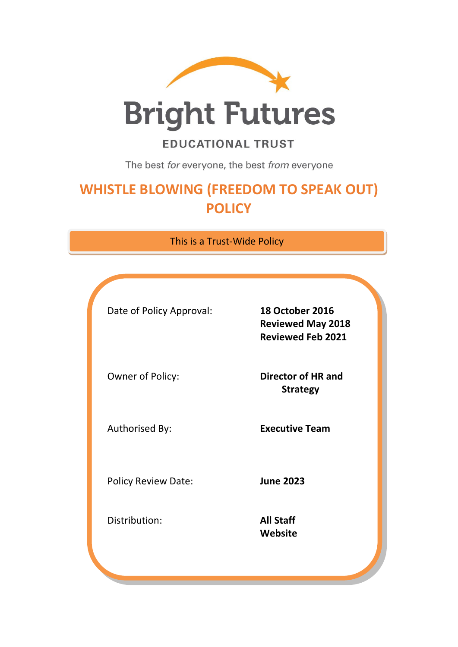

**Bright Futures** 

# **EDUCATIONAL TRUST**

The best for everyone, the best from everyone

# **WHISTLE BLOWING (FREEDOM TO SPEAK OUT) POLICY**

This is a Trust-Wide Policy

| Date of Policy Approval:   | <b>18 October 2016</b><br><b>Reviewed May 2018</b><br><b>Reviewed Feb 2021</b> |
|----------------------------|--------------------------------------------------------------------------------|
| Owner of Policy:           | Director of HR and<br><b>Strategy</b>                                          |
| Authorised By:             | <b>Executive Team</b>                                                          |
| <b>Policy Review Date:</b> | <b>June 2023</b>                                                               |
| Distribution:              | <b>All Staff</b><br>Website                                                    |
|                            |                                                                                |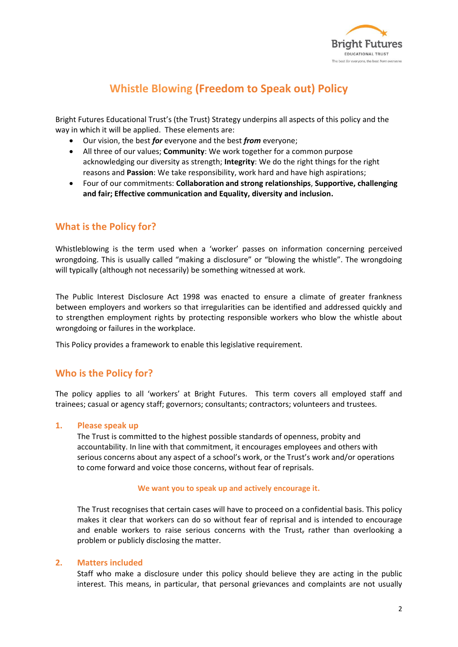

# **Whistle Blowing (Freedom to Speak out) Policy**

Bright Futures Educational Trust's (the Trust) Strategy underpins all aspects of this policy and the way in which it will be applied. These elements are:

- Our vision, the best *for* everyone and the best *from* everyone;
- All three of our values; **Community**: We work together for a common purpose acknowledging our diversity as strength; **Integrity**: We do the right things for the right reasons and **Passion**: We take responsibility, work hard and have high aspirations;
- Four of our commitments: **Collaboration and strong relationships**, **Supportive, challenging and fair; Effective communication and Equality, diversity and inclusion.**

# **What is the Policy for?**

Whistleblowing is the term used when a 'worker' passes on information concerning perceived wrongdoing. This is usually called "making a disclosure" or "blowing the whistle". The wrongdoing will typically (although not necessarily) be something witnessed at work.

The Public Interest Disclosure Act 1998 was enacted to ensure a climate of greater frankness between employers and workers so that irregularities can be identified and addressed quickly and to strengthen employment rights by protecting responsible workers who blow the whistle about wrongdoing or failures in the workplace.

This Policy provides a framework to enable this legislative requirement.

## **Who is the Policy for?**

The policy applies to all 'workers' at Bright Futures. This term covers all employed staff and trainees; casual or agency staff; governors; consultants; contractors; volunteers and trustees.

#### **1. Please speak up**

The Trust is committed to the highest possible standards of openness, probity and accountability. In line with that commitment, it encourages employees and others with serious concerns about any aspect of a school's work, or the Trust's work and/or operations to come forward and voice those concerns, without fear of reprisals.

#### **We want you to speak up and actively encourage it.**

The Trust recognises that certain cases will have to proceed on a confidential basis. This policy makes it clear that workers can do so without fear of reprisal and is intended to encourage and enable workers to raise serious concerns with the Trust, rather than overlooking a problem or publicly disclosing the matter.

#### **2. Matters included**

Staff who make a disclosure under this policy should believe they are acting in the public interest. This means, in particular, that personal grievances and complaints are not usually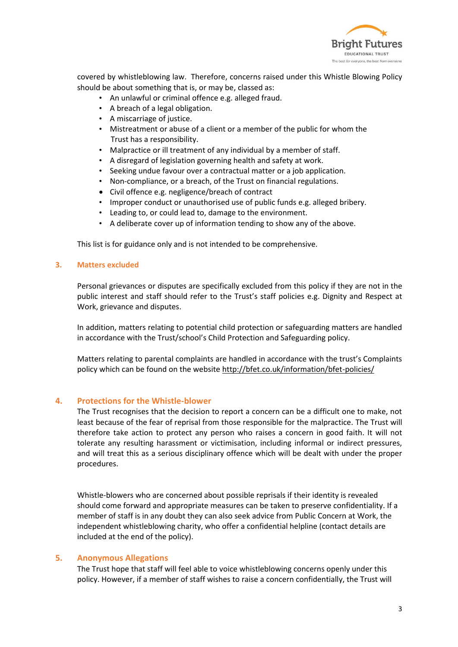

covered by whistleblowing law. Therefore, concerns raised under this Whistle Blowing Policy should be about something that is, or may be, classed as:

- An unlawful or criminal offence e.g. alleged fraud.
- A breach of a legal obligation.
- A miscarriage of justice.
- Mistreatment or abuse of a client or a member of the public for whom the Trust has a responsibility.
- Malpractice or ill treatment of any individual by a member of staff.
- A disregard of legislation governing health and safety at work.
- Seeking undue favour over a contractual matter or a job application.
- Non-compliance, or a breach, of the Trust on financial regulations.
- Civil offence e.g. negligence/breach of contract
- Improper conduct or unauthorised use of public funds e.g. alleged bribery.
- Leading to, or could lead to, damage to the environment.
- A deliberate cover up of information tending to show any of the above.

This list is for guidance only and is not intended to be comprehensive.

#### **3. Matters excluded**

Personal grievances or disputes are specifically excluded from this policy if they are not in the public interest and staff should refer to the Trust's staff policies e.g. Dignity and Respect at Work, grievance and disputes.

In addition, matters relating to potential child protection or safeguarding matters are handled in accordance with the Trust/school's Child Protection and Safeguarding policy.

Matters relating to parental complaints are handled in accordance with the trust's Complaints policy which can be found on the website<http://bfet.co.uk/information/bfet-policies/>

#### **4. Protections for the Whistle-blower**

The Trust recognises that the decision to report a concern can be a difficult one to make, not least because of the fear of reprisal from those responsible for the malpractice. The Trust will therefore take action to protect any person who raises a concern in good faith. It will not tolerate any resulting harassment or victimisation, including informal or indirect pressures, and will treat this as a serious disciplinary offence which will be dealt with under the proper procedures.

Whistle-blowers who are concerned about possible reprisals if their identity is revealed should come forward and appropriate measures can be taken to preserve confidentiality. If a member of staff is in any doubt they can also seek advice from Public Concern at Work, the independent whistleblowing charity, who offer a confidential helpline (contact details are included at the end of the policy).

#### **5. Anonymous Allegations**

The Trust hope that staff will feel able to voice whistleblowing concerns openly under this policy. However, if a member of staff wishes to raise a concern confidentially, the Trust will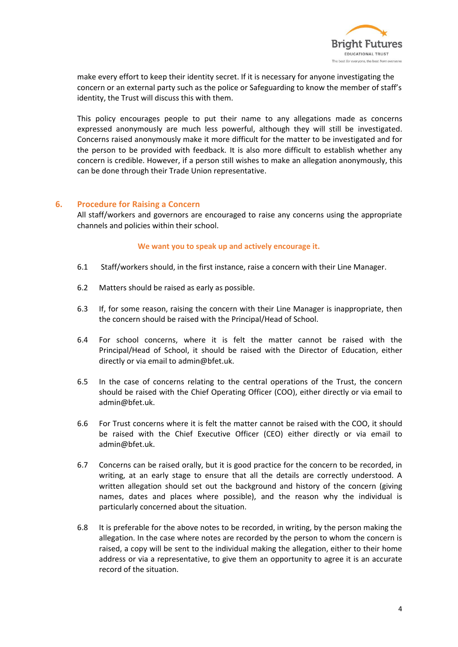

make every effort to keep their identity secret. If it is necessary for anyone investigating the concern or an external party such as the police or Safeguarding to know the member of staff's identity, the Trust will discuss this with them.

This policy encourages people to put their name to any allegations made as concerns expressed anonymously are much less powerful, although they will still be investigated. Concerns raised anonymously make it more difficult for the matter to be investigated and for the person to be provided with feedback. It is also more difficult to establish whether any concern is credible. However, if a person still wishes to make an allegation anonymously, this can be done through their Trade Union representative.

#### **6. Procedure for Raising a Concern**

All staff/workers and governors are encouraged to raise any concerns using the appropriate channels and policies within their school.

#### **We want you to speak up and actively encourage it.**

- 6.1 Staff/workers should, in the first instance, raise a concern with their Line Manager.
- 6.2 Matters should be raised as early as possible.
- 6.3 If, for some reason, raising the concern with their Line Manager is inappropriate, then the concern should be raised with the Principal/Head of School.
- 6.4 For school concerns, where it is felt the matter cannot be raised with the Principal/Head of School, it should be raised with the Director of Education, either directly or via email to admin@bfet.uk.
- 6.5 In the case of concerns relating to the central operations of the Trust, the concern should be raised with the Chief Operating Officer (COO), either directly or via email to admin@bfet.uk.
- 6.6 For Trust concerns where it is felt the matter cannot be raised with the COO, it should be raised with the Chief Executive Officer (CEO) either directly or via email to admin@bfet.uk.
- 6.7 Concerns can be raised orally, but it is good practice for the concern to be recorded, in writing, at an early stage to ensure that all the details are correctly understood. A written allegation should set out the background and history of the concern (giving names, dates and places where possible), and the reason why the individual is particularly concerned about the situation.
- 6.8 It is preferable for the above notes to be recorded, in writing, by the person making the allegation. In the case where notes are recorded by the person to whom the concern is raised, a copy will be sent to the individual making the allegation, either to their home address or via a representative, to give them an opportunity to agree it is an accurate record of the situation.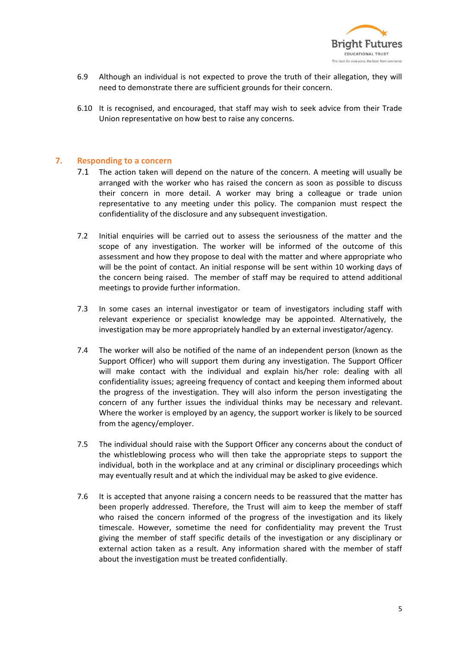

- 6.9 Although an individual is not expected to prove the truth of their allegation, they will need to demonstrate there are sufficient grounds for their concern.
- 6.10 It is recognised, and encouraged, that staff may wish to seek advice from their Trade Union representative on how best to raise any concerns.

#### **7. Responding to a concern**

- 7.1 The action taken will depend on the nature of the concern. A meeting will usually be arranged with the worker who has raised the concern as soon as possible to discuss their concern in more detail. A worker may bring a colleague or trade union representative to any meeting under this policy. The companion must respect the confidentiality of the disclosure and any subsequent investigation.
- 7.2 Initial enquiries will be carried out to assess the seriousness of the matter and the scope of any investigation. The worker will be informed of the outcome of this assessment and how they propose to deal with the matter and where appropriate who will be the point of contact. An initial response will be sent within 10 working days of the concern being raised. The member of staff may be required to attend additional meetings to provide further information.
- 7.3 In some cases an internal investigator or team of investigators including staff with relevant experience or specialist knowledge may be appointed. Alternatively, the investigation may be more appropriately handled by an external investigator/agency.
- 7.4 The worker will also be notified of the name of an independent person (known as the Support Officer) who will support them during any investigation. The Support Officer will make contact with the individual and explain his/her role: dealing with all confidentiality issues; agreeing frequency of contact and keeping them informed about the progress of the investigation. They will also inform the person investigating the concern of any further issues the individual thinks may be necessary and relevant. Where the worker is employed by an agency, the support worker is likely to be sourced from the agency/employer.
- 7.5 The individual should raise with the Support Officer any concerns about the conduct of the whistleblowing process who will then take the appropriate steps to support the individual, both in the workplace and at any criminal or disciplinary proceedings which may eventually result and at which the individual may be asked to give evidence.
- 7.6 It is accepted that anyone raising a concern needs to be reassured that the matter has been properly addressed. Therefore, the Trust will aim to keep the member of staff who raised the concern informed of the progress of the investigation and its likely timescale. However, sometime the need for confidentiality may prevent the Trust giving the member of staff specific details of the investigation or any disciplinary or external action taken as a result. Any information shared with the member of staff about the investigation must be treated confidentially.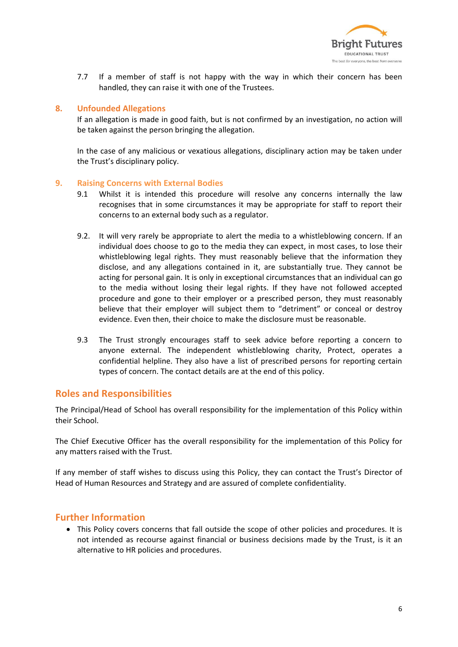

7.7 If a member of staff is not happy with the way in which their concern has been handled, they can raise it with one of the Trustees.

#### **8. Unfounded Allegations**

If an allegation is made in good faith, but is not confirmed by an investigation, no action will be taken against the person bringing the allegation.

In the case of any malicious or vexatious allegations, disciplinary action may be taken under the Trust's disciplinary policy.

#### **9. Raising Concerns with External Bodies**

- 9.1 Whilst it is intended this procedure will resolve any concerns internally the law recognises that in some circumstances it may be appropriate for staff to report their concerns to an external body such as a regulator.
- 9.2. It will very rarely be appropriate to alert the media to a whistleblowing concern. If an individual does choose to go to the media they can expect, in most cases, to lose their whistleblowing legal rights. They must reasonably believe that the information they disclose, and any allegations contained in it, are substantially true. They cannot be acting for personal gain. It is only in exceptional circumstances that an individual can go to the media without losing their legal rights. If they have not followed accepted procedure and gone to their employer or a prescribed person, they must reasonably believe that their employer will subject them to "detriment" or conceal or destroy evidence. Even then, their choice to make the disclosure must be reasonable.
- 9.3 The Trust strongly encourages staff to seek advice before reporting a concern to anyone external. The independent whistleblowing charity, Protect, operates a confidential helpline. They also have a list of prescribed persons for reporting certain types of concern. The contact details are at the end of this policy.

### **Roles and Responsibilities**

The Principal/Head of School has overall responsibility for the implementation of this Policy within their School.

The Chief Executive Officer has the overall responsibility for the implementation of this Policy for any matters raised with the Trust.

If any member of staff wishes to discuss using this Policy, they can contact the Trust's Director of Head of Human Resources and Strategy and are assured of complete confidentiality.

## **Further Information**

 This Policy covers concerns that fall outside the scope of other policies and procedures. It is not intended as recourse against financial or business decisions made by the Trust, is it an alternative to HR policies and procedures.